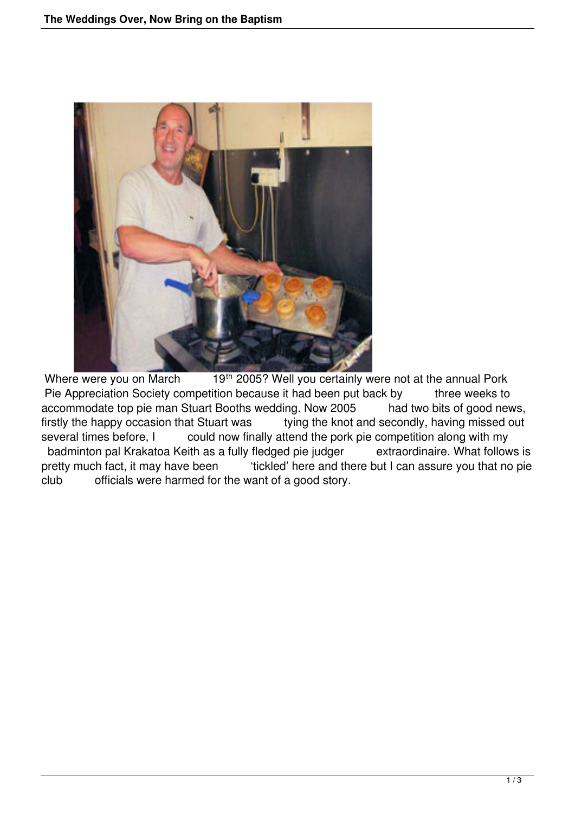

Where were you on March 19<sup>th</sup> 2005? Well you certainly were not at the annual Pork Pie Appreciation Society competition because it had been put back by three weeks to accommodate top pie man Stuart Booths wedding. Now 2005 had two bits of good news, firstly the happy occasion that Stuart was tying the knot and secondly, having missed out several times before, I could now finally attend the pork pie competition along with my badminton pal Krakatoa Keith as a fully fledged pie judger extraordinaire. What follows is pretty much fact, it may have been 'tickled' here and there but I can assure you that no pie club officials were harmed for the want of a good story.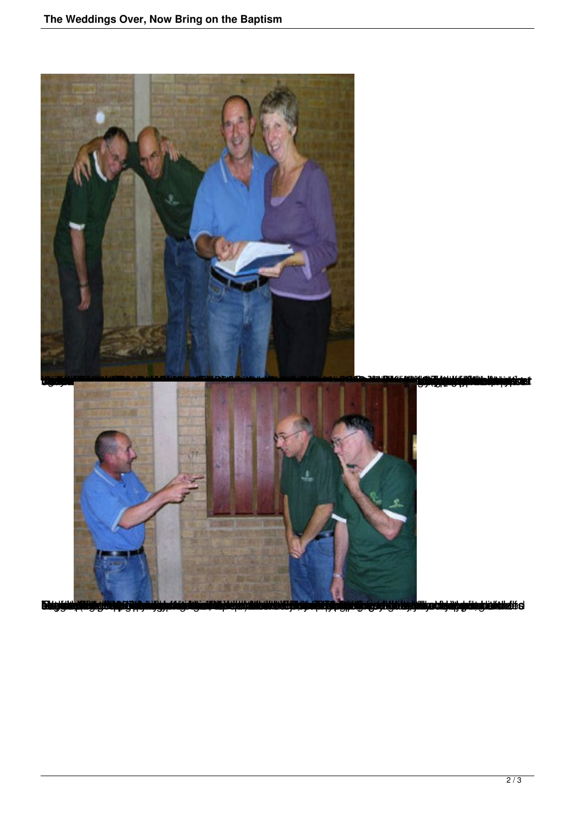